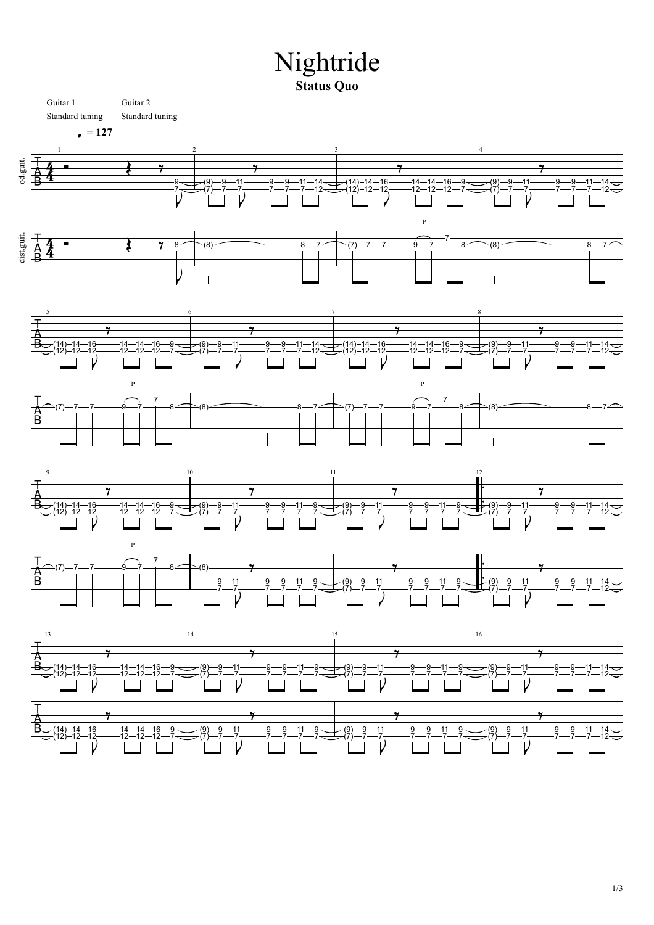## Nightride Nightride **Status Quo**

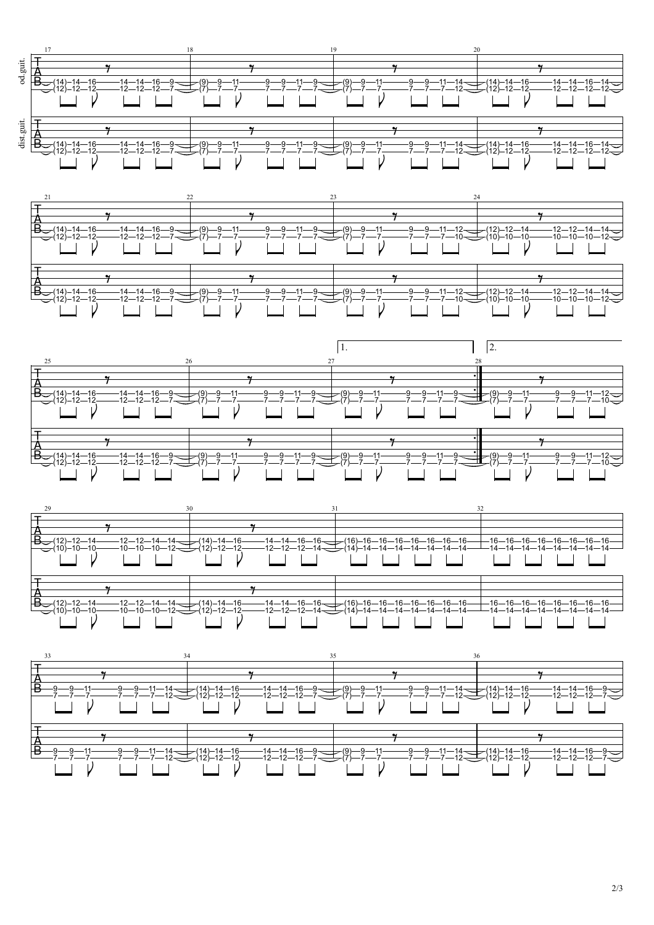